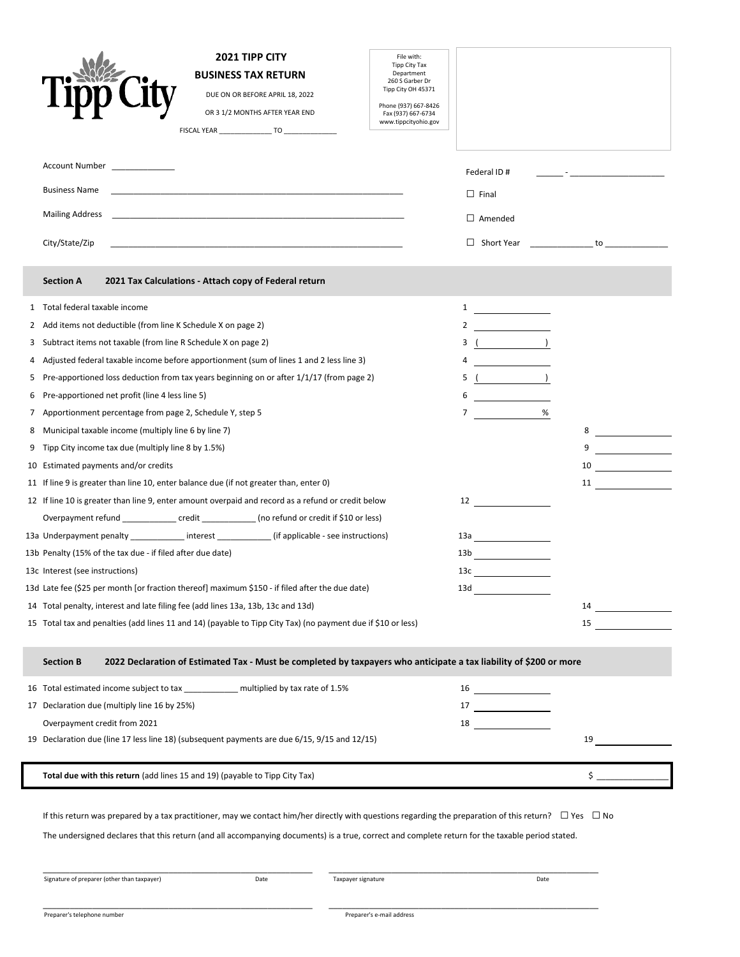|                                                 | <b>2021 TIPP CITY</b><br><b>BUSINESS TAX RETURN</b><br>DUE ON OR BEFORE APRIL 18, 2022<br>OR 3 1/2 MONTHS AFTER YEAR END                                                                                                                                                                                                                                                                                                                                                                                                                                                                                                                                                                                                                                                                                                                                                                                                                                                                                                                                                                                                                                                                                                                                                                                                                                                                                                          | File with:<br>Tipp City Tax<br>Department<br>260 S Garber Dr<br>Tipp City OH 45371<br>Phone (937) 667-8426<br>Fax (937) 667-6734<br>www.tippcityohio.gov |                                                                                                                                                                                                                      |                                              |
|-------------------------------------------------|-----------------------------------------------------------------------------------------------------------------------------------------------------------------------------------------------------------------------------------------------------------------------------------------------------------------------------------------------------------------------------------------------------------------------------------------------------------------------------------------------------------------------------------------------------------------------------------------------------------------------------------------------------------------------------------------------------------------------------------------------------------------------------------------------------------------------------------------------------------------------------------------------------------------------------------------------------------------------------------------------------------------------------------------------------------------------------------------------------------------------------------------------------------------------------------------------------------------------------------------------------------------------------------------------------------------------------------------------------------------------------------------------------------------------------------|----------------------------------------------------------------------------------------------------------------------------------------------------------|----------------------------------------------------------------------------------------------------------------------------------------------------------------------------------------------------------------------|----------------------------------------------|
|                                                 | Account Number<br><b>Business Name</b><br><b>Mailing Address</b><br>City/State/Zip                                                                                                                                                                                                                                                                                                                                                                                                                                                                                                                                                                                                                                                                                                                                                                                                                                                                                                                                                                                                                                                                                                                                                                                                                                                                                                                                                |                                                                                                                                                          | Federal ID#<br>$\Box$ Final<br>$\Box$ Amended                                                                                                                                                                        | the control of the control of the control of |
|                                                 | 2021 Tax Calculations - Attach copy of Federal return<br><b>Section A</b>                                                                                                                                                                                                                                                                                                                                                                                                                                                                                                                                                                                                                                                                                                                                                                                                                                                                                                                                                                                                                                                                                                                                                                                                                                                                                                                                                         |                                                                                                                                                          |                                                                                                                                                                                                                      |                                              |
| 1<br>2<br>3<br>4<br>5<br>6<br>7<br>8<br>9<br>10 | Total federal taxable income<br>Add items not deductible (from line K Schedule X on page 2)<br>Subtract items not taxable (from line R Schedule X on page 2)<br>Adjusted federal taxable income before apportionment (sum of lines 1 and 2 less line 3)<br>Pre-apportioned loss deduction from tax years beginning on or after 1/1/17 (from page 2)<br>Pre-apportioned net profit (line 4 less line 5)<br>Apportionment percentage from page 2, Schedule Y, step 5<br>Municipal taxable income (multiply line 6 by line 7)<br>Tipp City income tax due (multiply line 8 by 1.5%)<br>Estimated payments and/or credits<br>11 If line 9 is greater than line 10, enter balance due (if not greater than, enter 0)<br>12 If line 10 is greater than line 9, enter amount overpaid and record as a refund or credit below<br>Overpayment refund ________________ credit _____________ (no refund or credit if \$10 or less)<br>13a Underpayment penalty ____________ interest ____________ (if applicable - see instructions)<br>13b Penalty (15% of the tax due - if filed after due date)<br>13c Interest (see instructions)<br>13d Late fee (\$25 per month [or fraction thereof] maximum \$150 - if filed after the due date)<br>14 Total penalty, interest and late filing fee (add lines 13a, 13b, 13c and 13d)<br>15 Total tax and penalties (add lines 11 and 14) (payable to Tipp City Tax) (no payment due if \$10 or less) |                                                                                                                                                          | $\mathbf{1}$<br>2<br>3(<br><u> 1989 - Johann Barbara, martin a</u><br>5(<br>6<br>$7 \quad \qquad$<br>%<br>$12 \overline{\phantom{1211111}}$<br>13a <u>- American American A</u><br>13b<br>13c $\qquad \qquad$<br>13d | 8<br>9<br>10<br>15                           |
|                                                 | <b>Section B</b><br>2022 Declaration of Estimated Tax - Must be completed by taxpayers who anticipate a tax liability of \$200 or more                                                                                                                                                                                                                                                                                                                                                                                                                                                                                                                                                                                                                                                                                                                                                                                                                                                                                                                                                                                                                                                                                                                                                                                                                                                                                            |                                                                                                                                                          |                                                                                                                                                                                                                      |                                              |
|                                                 | 16 Total estimated income subject to tax ____________ multiplied by tax rate of 1.5%<br>17 Declaration due (multiply line 16 by 25%)<br>Overpayment credit from 2021<br>19 Declaration due (line 17 less line 18) (subsequent payments are due 6/15, 9/15 and 12/15)                                                                                                                                                                                                                                                                                                                                                                                                                                                                                                                                                                                                                                                                                                                                                                                                                                                                                                                                                                                                                                                                                                                                                              |                                                                                                                                                          | $16 \overline{\qquad \qquad }$<br>$17 \begin{tabular}{l} \hline \end{tabular}$<br>18 and $\sim$                                                                                                                      | 19                                           |
|                                                 | Total due with this return (add lines 15 and 19) (payable to Tipp City Tax)                                                                                                                                                                                                                                                                                                                                                                                                                                                                                                                                                                                                                                                                                                                                                                                                                                                                                                                                                                                                                                                                                                                                                                                                                                                                                                                                                       |                                                                                                                                                          |                                                                                                                                                                                                                      | $\frac{1}{2}$                                |
|                                                 | If this return was prepared by a tax practitioner, may we contact him/her directly with questions regarding the preparation of this return? $\square$ Yes $\square$ No<br>The undersigned declares that this return (and all accompanying documents) is a true, correct and complete return for the taxable period stated.<br>Signature of preparer (other than taxpayer)<br>Date<br>Taxpayer signature                                                                                                                                                                                                                                                                                                                                                                                                                                                                                                                                                                                                                                                                                                                                                                                                                                                                                                                                                                                                                           |                                                                                                                                                          | Date                                                                                                                                                                                                                 |                                              |
|                                                 |                                                                                                                                                                                                                                                                                                                                                                                                                                                                                                                                                                                                                                                                                                                                                                                                                                                                                                                                                                                                                                                                                                                                                                                                                                                                                                                                                                                                                                   |                                                                                                                                                          |                                                                                                                                                                                                                      |                                              |

 $\mathbf{r}$ 

\_\_\_\_\_\_\_\_\_\_\_\_\_\_\_\_\_\_\_\_\_\_\_\_\_\_\_\_\_\_\_\_\_\_\_\_\_\_\_\_\_\_\_\_\_\_\_\_\_\_\_\_\_\_\_\_\_\_\_\_ \_\_\_\_\_\_\_\_\_\_\_\_\_\_\_\_\_\_\_\_\_\_\_\_\_\_\_\_\_\_\_\_\_\_\_\_\_\_\_\_\_\_\_\_\_\_\_\_\_\_\_\_\_\_\_\_\_\_\_\_